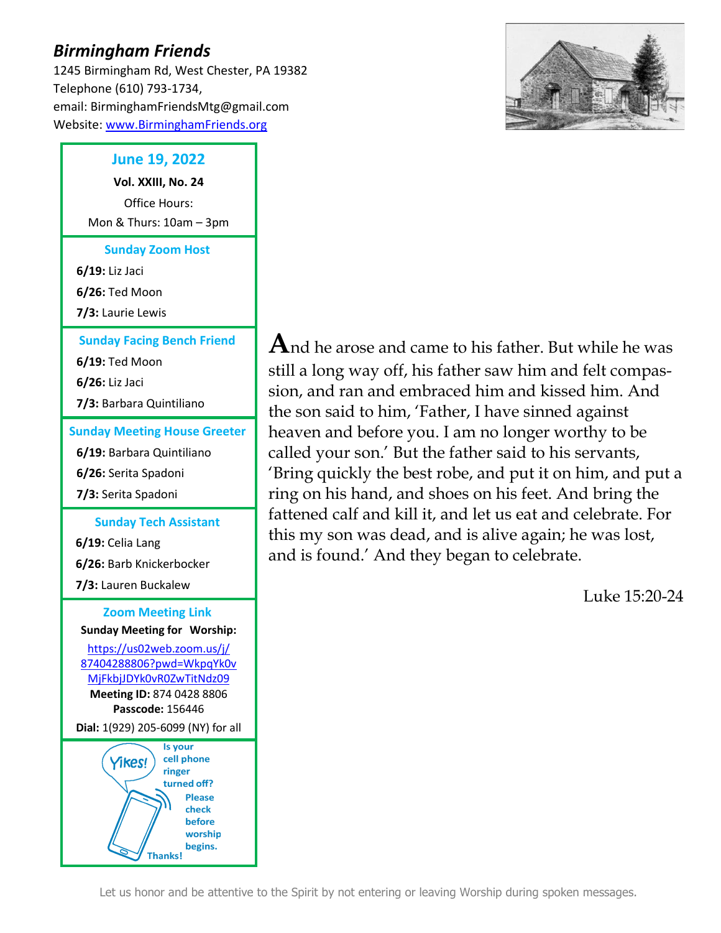# *Birmingham Friends*

1245 Birmingham Rd, West Chester, PA 19382 Telephone (610) 793-1734, email: BirminghamFriendsMtg@gmail.com Website: [www.BirminghamFriends.org](http://www.birminghamfriends.org/)

## **June 19, 2022**

**Vol. XXIII, No. 24** Office Hours: Mon & Thurs: 10am – 3pm

**Sunday Zoom Host**

**6/19:** Liz Jaci

**6/26:** Ted Moon

**7/3:** Laurie Lewis

#### **Sunday Facing Bench Friend**

**6/19:** Ted Moon **6/26:** Liz Jaci

**7/3:** Barbara Quintiliano

### **Sunday Meeting House Greeter**

**6/19:** Barbara Quintiliano **6/26:** Serita Spadoni **7/3:** Serita Spadoni

#### **Sunday Tech Assistant**

**6/19:** Celia Lang **6/26:** Barb Knickerbocker **7/3:** Lauren Buckalew

#### **Zoom Meeting Link Sunday Meeting for Worship:**

[https://us02web.zoom.us/j/](https://us02web.zoom.us/j/87404288806?pwd=WkpqYk0vMjFkbjJDYk0vR0ZwTitNdz09) [87404288806?pwd=WkpqYk0v](https://us02web.zoom.us/j/87404288806?pwd=WkpqYk0vMjFkbjJDYk0vR0ZwTitNdz09) [MjFkbjJDYk0vR0ZwTitNdz09](https://us02web.zoom.us/j/87404288806?pwd=WkpqYk0vMjFkbjJDYk0vR0ZwTitNdz09) **Meeting ID:** 874 0428 8806 **Passcode:** 156446

**Dial:** 1(929) 205-6099 (NY) for all





**A**nd he arose and came to his father. But while he was still a long way off, his father saw him and felt compassion, and ran and embraced him and kissed him. And the son said to him, 'Father, I have sinned against heaven and before you. I am no longer worthy to be called your son.' But the father said to his servants, 'Bring quickly the best robe, and put it on him, and put a ring on his hand, and shoes on his feet. And bring the fattened calf and kill it, and let us eat and celebrate. For this my son was dead, and is alive again; he was lost, and is found.' And they began to celebrate.

[Luke 15:20-24](https://www.biblegateway.com/passage/?search=Luke+15%3A20-24&version=ESV)